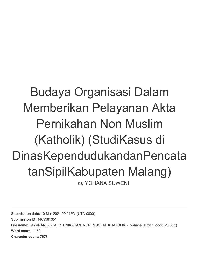# Budaya Organisasi Dalam Memberikan Pelayanan Akta Pernikahan Non Muslim (Katholik) (StudiKasus di DinasKependudukandanPencata tanSipilKabupaten Malang) *by* YOHANA SUWENI

**Submission date:** 10-Mar-2021 09:21PM (UTC-0800) **Submission ID:** 1409981351 File name: LAYANAN\_AKTA\_PERNIKAHAN\_NON\_MUSLIM\_KHATOLIK\_-\_vohana\_suweni.docx (20.85K) **Word count:** 1150 **Character count:** 7678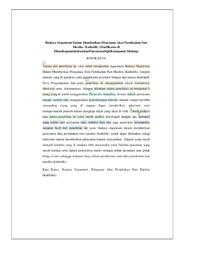#### Budaya Organisasi Dalam Memberikan Pelayanan Akta Pernikahan Non Muslim (Katholik) (StudiKasus di DinasKependudukandanPencatatanSipilKabupaten Malang)

#### **RINGKASAN**

Tujuan dari penelitian ini yaitu untuk mengetahui bagaimana Budaya Organisasi Dalam Memberikan Pelayanan Akta Pernikahan Non Muslim (Katholik). Adapun metode yang di gunakan yaitu pendekatan kualitatif dengan tipe tujuan deskriptif. Serta Pengumpulan data pada penelitian ini menggunakan teknik wawancara, observasi serta dokumentasi. Adapun informan dalam penelitian ini berjumlah 5 orang yang di ambil menggunakan Purposive Sampling, dimana teknik penentuan sampel sumber data menggunakan pertimbangan tertentu adapun sampel tersebut merupakan orang yang di anggap dapat memberikan informasi serta mempermudah peneliti dalam mengkaji objek yang akan di teliti. Teknik analisis data dalam penelitian ini yaitu teknik analisis dekskriptif dengan tipe interaktif yang terdiri dari penyajian data, reduksi data dan juga penerikan kesimpulan. Adapun hasil dari penelitian ini yaitu budaya organisasi dalam memberikan pelayanan akta pernikahan non muslim (katholik) sudah dapat dikatakan cukup maksimal dalam memberikan pelayanan kepada masyarakat. Adapun yang masih menjadi kendala yang di rasakan oleh masyarakat yaitu fasilitas prasarana yang masih kurang serta dalam prakteknya masih terdapat pihak perantara atau pihak ketiga (calo) sehingga terdapat biaya dalam pembuatan surat akta pernikahan non muslim (katholik).

Kata Kunci: Budaya Organisasi, Pelayanan Akta Pernikahan Non Muslim (Katholik).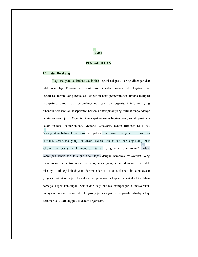### **BABI**

#### **PENDAHULUAN**

#### 1.1. Latar Belakang

Bagi masyarakat Indonesia, istilah organisasi pasti sering didengar dan tidak asing lagi. Dimana organisasi tersebut terbagi menjadi dua bagian yaitu organisasi formal yang berkaitan dengan instansi pemerintahan dimana meliputi terdapatnya aturan dan perundang-undangan dan organisasi informal yang dibentuk berdasarkan kesepakatan bersama antar pihak yang terlibat tanpa adanya peraturan yang jelas. Organisasi merupakan suatu bagian yang sudah pasti ada dalam instansi pemerintahan. Menurut Wijayanti, dalam Rohman (2017:75) "menyatakan bahwa Organisasi merupakan suatu sistem yang terdiri dari pola aktivitas kerjasama yang dilakukan secara teratur dan berulang-ulang oleh sekelompok orang untuk mencapai tujuan yang telah ditentukan." Dalam kehidupan sehari-hari kita pun tidak lepas dengan namanya masyarakat, yang mana memiliki bentuk organisasi masyarakat yang terikat dengan pemerintah misalnya, dari segi kebudayaan. Secara sadar atau tidak sadar saat ini kebudayaan yang kita miliki serta jalankan akan mempengaruhi sikap serta perilaku kita dalam berbagai aspek kehidupan. Selain dari segi budaya mempengaruhi masyarakat, budaya organisasi secara tidak langsung juga sangat berpengaruh terhadap sikap serta perilaku dari anggota di dalam organisasi.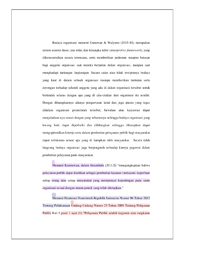Budaya organisasi menurut Gunawan & Walyuno (2015:40), merupakan sistem asumsi dasar, tata nilai, dan kerangka tafsir (interpretive framework), yang dikomsumsikan secara terencana, serta memberikan pedoman maupun batasan bagi anggota organisasi saat mereka berperan dalam organisasi, maupun saat menghadapi tantangan lingkungan. Secara sadar atau tidak terciptanya budaya yang kuat di dalam sebuah organisasi mampu memberikan tuntutan serta dorongan terhadap seluruh anggota yang ada di dalam organisasi tersebut untuk bertindak selaras dengan apa yang di cita-citakan dari organisasi itu senidri. Dengan diharapkannya adanya pengawasan ketat dan juga aturan yang tegas didalam organisasi pemerintah tersebut, bawahan atau karyawan dapat menjalankan nya sesuai dengan yang seharusnya sehingga budaya organisasi yang kurang baik dapat diperbaiki dan dihilangkan sehingga diharapkan dapat mengoptimalkan kinerja serta dalam pemberian pelayanan publik bagi masyarakat dapat terlaksana sesuai apa yang di harapkan oleh masyarakat. Secara tidak langsung budaya organisasi juga berpengaruh terhadap kinerja pegawai dalam pemberian pelayanan pada masyarakat.

Menurut Kurniawan, dalam Sinambela (2011:5) "mengungkapkan bahwa pelayanan publik dapat diartikan sebagai pemberian layanan (melayani) keperluan setiap orang atau setiap masyarakat yang mempunyai kepentingan pada suatu organisasi sesuai dengan aturan pokok yang telah ditetapkan."

Menurut Peraturan Pemerintah Republik Indonesia Nomor 96 Tahun 2012 Tentang Pelaksanaan Undang-Undang Nomor 25 Tahun 2009 Tentang Pelayanan Publik Bab I pasal 1 ayat (1) "Pelayanan Publik adalah kegiatan atau rangkaian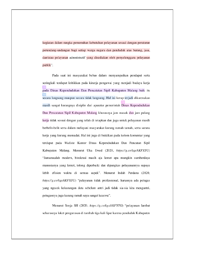kegiatan dalam rangka pemenuhan kebutuhan pelayanan sesuai dengan peraturan perundang-undangan bagi setiap warga negara dan penduduk atas barang, jasa, dan/atau pelayanan admnistratif yang disediakan oleh penyelenggara pelayanan publik".

Pada saat ini masyarakat bebas dalam menyampaikan pendapat serta seringkali terdapat kritikkan pada kinerja pengawai yang menjadi budaya kerja pada Dinas Kependudukan Dan Pencatatan Sipil Kabupaten Malang baik itu secara langsung maupun secara tidak langsung. Hal ini kerap terjadi dikarenakan masih sangat kurangnya disiplin dari aparatur pemerintah Dinas Kependudukan Dan Pencatatan Sipil Kabupaten Malang khususnya jam masuk dan jam pulang kerja tidak sesuai dengan yang telah di tetapkan dan juga untuk pelayanan masih berbelit-belit serta dalam melayani masyarakat kurang ramah tamah, serta sarana kerja yang kurang memadai. Hal ini juga di buktikan pada kolom komentar yang terdapat pada Wedsite Kantor Dinas Kependudukan Dan Pencatan Sipil Kabupaten Malang. Menurut Uka Ewed (2020, https://g.co/kgs/kKFXTG) "Jamansudah modern, birokrasi masih aja lemot apa mungkin sumberdaya manusianya yang lemot, tolong diperbaiki dan dipangkas pelayanannya supaya lebih efisien waktu di semua aspek". Menurut Indah Perdana (2020, https://g.co/kgs/kKFXTG) "pelayanan tidak professional, harusnya ada petugas yang ngecek kekurangan data sebelum antri jadi tidak sia-sia kita mengantri, petugasnya juga kurang ramah saya sangat kecewa".

Menurut Senja SH (2020, https://g.co/kgs/kKFXTG) "pelayanan lambat seharusnya loket pengurusan di tambah tiga kali lipat karena penduduk Kabupaten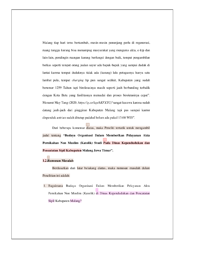Malang tiap hari terus bertambah, mesin-mesin penunjang perlu di regenerasi, ruang tunggu kurang bisa menampug masyarakat yang mengurus akta, e-ktp dan lain-lain, pendingin ruangan kurang berfungsi dengan baik, tempat pengambilan berkas seperti tempat orang jualan sayur ada bapak-bapak yang sampai duduk di lantai karena tempat duduknya tidak ada (kurang) lalu petugasnya hanya satu lambat pula, tempat charging hp pun sangat sedikit, Kabupaten yang sudah berumur 1259 Tahun tapi birokrasinya masih seperti jauh berbanding terbalik dengan Kota Batu yang fasilitasnya memadai dan proses birokrasinya cepat". Menurut May Tang (2020, https://g.co/kgs/kKFXTG)"sangat kecewa karena sudah datang jauh-jauh dari pinggiran Kabupaten Malang tapi pas sampai kantor dispenduk antrian sudah ditutup padahal belum ada pukul 13:00 WIB".

Dari beberapa komentar diatas, maka Peneliti tertarik untuk mengambil judul tentang "Budaya Organisasi Dalam Memberikan Pelayanan Akta Pernikahan Non Muslim (Katolik) Studi Pada Dinas Kependudukan dan Pencatatan Sipil Kabupaten Malang Jawa Timur".

#### 1.2. Rumusan Masalah

Berdasarkan dari latar belakang diatas, maka rumusan masalah dalam Penelitian ini adalah:

1. Bagaimana Budaya Organisasi Dalam Memberikan Pelayanan Akta Pernikahan Non Muslim (Katolik) di Dinas Kependudukan dan Pencatatan Sipil Kabupaten Malang?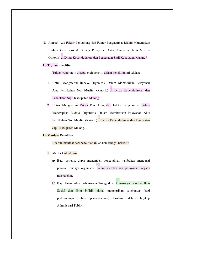2. Apakah Ada Faktor Pendukung dan Faktor Penghambat Dalam Menerapkan Budaya Organisasi di Bidang Pelayanan Akta Pernikahan Non Muslim (Katolik) di Dinas Kependudukan dan Pencatatan Sipil Kabupaten Malang?

#### 1.3. Tujuan Penelitian

Tujuan yang ingin dicapai oleh peneliti dalam penelitian ini adalah:

- 1. Untuk Mengetahui Budaya Organisasi Dalam Memberikan Pelayanan Akta Pernikahan Non Muslim (Katolik) di Dinas Kependudukan dan Pencatatan Sipil Kabupaten Malang.
- 2. Untuk Mengetahui Faktor Pendukung dan Faktor Penghambat Dalam Menerapkan Budaya Organisasi Dalam Memberikan Pelayanan Akta Pernikahan Non Muslim (Katolik) di Dinas Kependudukan dan Pencatatan Sipil Kabupaten Malang.

#### **1.4.Manfaat Penelitan**

Adapun manfaat dari penelitian ini adalah sebagai berikut:

- 1. Manfaat Akademis
	- a) Bagi penulis, dapat menambah pengetahuan tambahan mengenai peranan budaya organisasi dalam memberikan pelayanan kepada masyarakat.
	- b) Bagi Universitas Tribhuwana Tunggadewi khususnya Fakultas Ilmu Sosial dan Ilmu Politik, dapat memberikan sumbangan bagi perkembangan ilmu pengentahuan, terutama dalam lingkup Admnistrasi Publik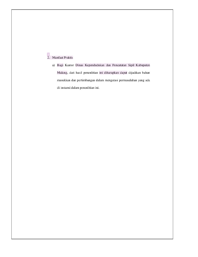## <sup>9</sup><br>2. Manfaat Praktis

a) Bagi Kantor Dinas Kependudukan dan Pencatatan Sipil Kabupaten Malang, dari hasil penenlitian ini diharapkan dapat dijadikan bahan masukkan dan pertimbangan dalam mengatasi permasalahan yang ada di instansi dalam penenlitian ini.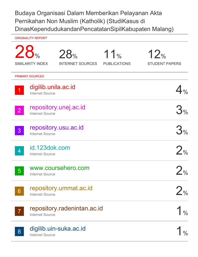### Budaya Organisasi Dalam Memberikan Pelayanan Akta Pernikahan Non Muslim (Katholik) (StudiKasus di DinasKependudukandanPencatatanSipilKabupaten Malang)

|                | <b>ORIGINALITY REPORT</b>                     |                                |                                        |                                           |
|----------------|-----------------------------------------------|--------------------------------|----------------------------------------|-------------------------------------------|
|                | 28 <sub>%</sub><br><b>SIMILARITY INDEX</b>    | 28%<br><b>INTERNET SOURCES</b> | 11 <sub>%</sub><br><b>PUBLICATIONS</b> | 12%<br><b>STUDENT PAPERS</b>              |
|                | <b>PRIMARY SOURCES</b>                        |                                |                                        |                                           |
| $\overline{1}$ | digilib.unila.ac.id<br><b>Internet Source</b> |                                |                                        |                                           |
| 2 <sup>1</sup> | <b>Internet Source</b>                        | repository.unej.ac.id          |                                        | 3%                                        |
| $\overline{3}$ | <b>Internet Source</b>                        | repository.usu.ac.id           |                                        | 3%                                        |
| <b>Ay</b>      | id.123dok.com<br><b>Internet Source</b>       |                                |                                        | 2 <sub>0</sub>                            |
| 5 <sup>5</sup> | <b>Internet Source</b>                        | www.coursehero.com             |                                        | $\mathcal{D}_{\mathcal{O}_{\mathcal{C}}}$ |
| 6              | <b>Internet Source</b>                        | repository.ummat.ac.id         |                                        | $\frac{1}{\sqrt{2}}$                      |
|                | <b>Internet Source</b>                        | repository.radenintan.ac.id    |                                        |                                           |
| 8              | <b>Internet Source</b>                        | digilib.uin-suka.ac.id         |                                        |                                           |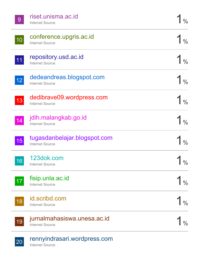| 9  | riset.unisma.ac.id<br><b>Internet Source</b>           |               |
|----|--------------------------------------------------------|---------------|
| 10 | conference.upgris.ac.id<br><b>Internet Source</b>      |               |
| 11 | repository.usd.ac.id<br><b>Internet Source</b>         |               |
| 12 | dedeandreas.blogspot.com<br><b>Internet Source</b>     |               |
| 13 | dedibrave09.wordpress.com<br><b>Internet Source</b>    |               |
| 14 | jdih.malangkab.go.id<br><b>Internet Source</b>         |               |
| 15 | tugasdanbelajar.blogspot.com<br><b>Internet Source</b> |               |
| 16 | 123dok.com<br><b>Internet Source</b>                   | $\frac{0}{0}$ |
| 17 | fisip.unla.ac.id<br><b>Internet Source</b>             |               |
| 18 | id.scribd.com<br><b>Internet Source</b>                |               |
| 19 | jurnalmahasiswa.unesa.ac.id<br><b>Internet Source</b>  |               |
| 20 | rennyindrasari.wordpress.com                           |               |

Internet Source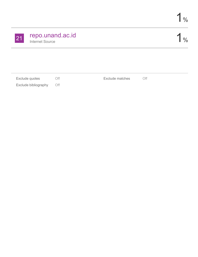| 21 | repo.unand.ac.id |  |  |
|----|------------------|--|--|
|    | Internet Source  |  |  |

1%

| Exclude quotes           | $\bigcirc$ ff | Exclude matches | Οff |
|--------------------------|---------------|-----------------|-----|
| Exclude bibliography Off |               |                 |     |